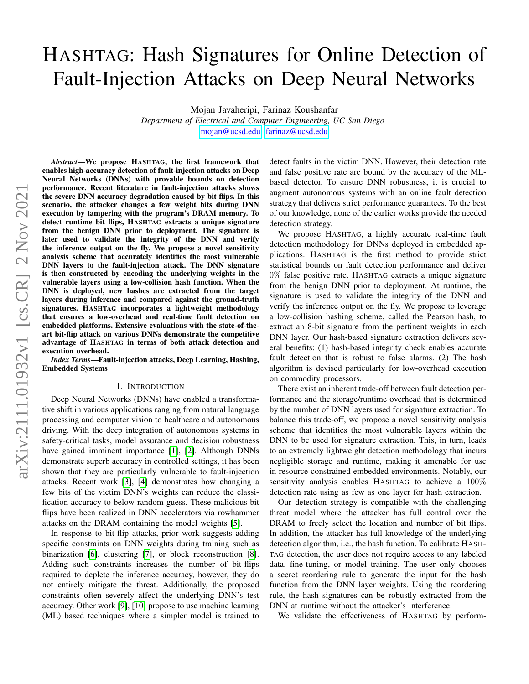# HASHTAG: Hash Signatures for Online Detection of Fault-Injection Attacks on Deep Neural Networks

Mojan Javaheripi, Farinaz Koushanfar

*Department of Electrical and Computer Engineering, UC San Diego* [mojan@ucsd.edu,](mailto:mojan@ucsd.edu) [farinaz@ucsd.edu](mailto:farinaz@ucsd.edu)

*Abstract*—We propose HASHTAG, the first framework that enables high-accuracy detection of fault-injection attacks on Deep Neural Networks (DNNs) with provable bounds on detection performance. Recent literature in fault-injection attacks shows the severe DNN accuracy degradation caused by bit flips. In this scenario, the attacker changes a few weight bits during DNN execution by tampering with the program's DRAM memory. To detect runtime bit flips, HASHTAG extracts a unique signature from the benign DNN prior to deployment. The signature is later used to validate the integrity of the DNN and verify the inference output on the fly. We propose a novel sensitivity analysis scheme that accurately identifies the most vulnerable DNN layers to the fault-injection attack. The DNN signature is then constructed by encoding the underlying weights in the vulnerable layers using a low-collision hash function. When the DNN is deployed, new hashes are extracted from the target layers during inference and compared against the ground-truth signatures. HASHTAG incorporates a lightweight methodology that ensures a low-overhead and real-time fault detection on embedded platforms. Extensive evaluations with the state-of-theart bit-flip attack on various DNNs demonstrate the competitive advantage of HASHTAG in terms of both attack detection and execution overhead.

*Index Terms*—Fault-injection attacks, Deep Learning, Hashing, Embedded Systems

#### I. INTRODUCTION

Deep Neural Networks (DNNs) have enabled a transformative shift in various applications ranging from natural language processing and computer vision to healthcare and autonomous driving. With the deep integration of autonomous systems in safety-critical tasks, model assurance and decision robustness have gained imminent importance [\[1\]](#page-7-0), [\[2\]](#page-7-1). Although DNNs demonstrate superb accuracy in controlled settings, it has been shown that they are particularly vulnerable to fault-injection attacks. Recent work [\[3\]](#page-8-0), [\[4\]](#page-8-1) demonstrates how changing a few bits of the victim DNN's weights can reduce the classification accuracy to below random guess. These malicious bit flips have been realized in DNN accelerators via rowhammer attacks on the DRAM containing the model weights [\[5\]](#page-8-2).

In response to bit-flip attacks, prior work suggests adding specific constraints on DNN weights during training such as binarization [\[6\]](#page-8-3), clustering [\[7\]](#page-8-4), or block reconstruction [\[8\]](#page-8-5). Adding such constraints increases the number of bit-flips required to deplete the inference accuracy, however, they do not entirely mitigate the threat. Additionally, the proposed constraints often severely affect the underlying DNN's test accuracy. Other work [\[9\]](#page-8-6), [\[10\]](#page-8-7) propose to use machine learning (ML) based techniques where a simpler model is trained to detect faults in the victim DNN. However, their detection rate and false positive rate are bound by the accuracy of the MLbased detector. To ensure DNN robustness, it is crucial to augment autonomous systems with an online fault detection strategy that delivers strict performance guarantees. To the best of our knowledge, none of the earlier works provide the needed detection strategy.

We propose HASHTAG, a highly accurate real-time fault detection methodology for DNNs deployed in embedded applications. HASHTAG is the first method to provide strict statistical bounds on fault detection performance and deliver 0% false positive rate. HASHTAG extracts a unique signature from the benign DNN prior to deployment. At runtime, the signature is used to validate the integrity of the DNN and verify the inference output on the fly. We propose to leverage a low-collision hashing scheme, called the Pearson hash, to extract an 8-bit signature from the pertinent weights in each DNN layer. Our hash-based signature extraction delivers several benefits: (1) hash-based integrity check enables accurate fault detection that is robust to false alarms. (2) The hash algorithm is devised particularly for low-overhead execution on commodity processors.

There exist an inherent trade-off between fault detection performance and the storage/runtime overhead that is determined by the number of DNN layers used for signature extraction. To balance this trade-off, we propose a novel sensitivity analysis scheme that identifies the most vulnerable layers within the DNN to be used for signature extraction. This, in turn, leads to an extremely lightweight detection methodology that incurs negligible storage and runtime, making it amenable for use in resource-constrained embedded environments. Notably, our sensitivity analysis enables HASHTAG to achieve a 100% detection rate using as few as one layer for hash extraction.

Our detection strategy is compatible with the challenging threat model where the attacker has full control over the DRAM to freely select the location and number of bit flips. In addition, the attacker has full knowledge of the underlying detection algorithm, i.e., the hash function. To calibrate HASH-TAG detection, the user does not require access to any labeled data, fine-tuning, or model training. The user only chooses a secret reordering rule to generate the input for the hash function from the DNN layer weights. Using the reordering rule, the hash signatures can be robustly extracted from the DNN at runtime without the attacker's interference.

We validate the effectiveness of HASHTAG by perform-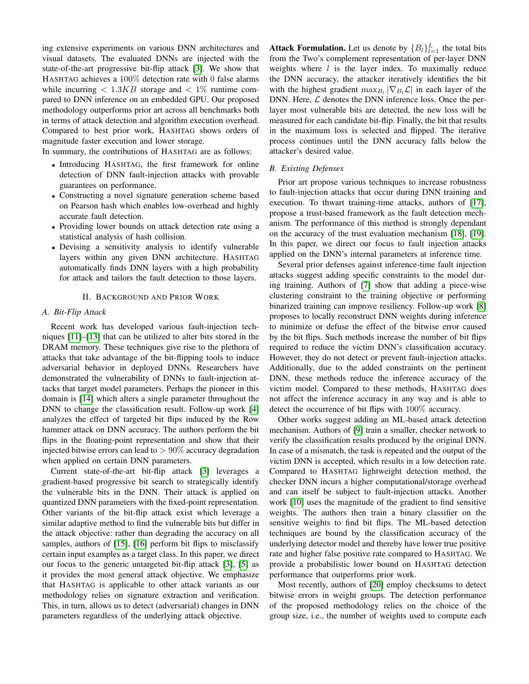ing extensive experiments on various DNN architectures and visual datasets. The evaluated DNNs are injected with the state-of-the-art progressive bit-flip attack [\[3\]](#page-8-0). We show that HASHTAG achieves a 100% detection rate with 0 false alarms while incurring  $\langle 1.3KB \rangle$  storage and  $\langle 1\% \rangle$  runtime compared to DNN inference on an embedded GPU. Our proposed methodology outperforms prior art across all benchmarks both in terms of attack detection and algorithm execution overhead. Compared to best prior work, HASHTAG shows orders of magnitude faster execution and lower storage.

In summary, the contributions of HASHTAG are as follows:

- Introducing HASHTAG, the first framework for online detection of DNN fault-injection attacks with provable guarantees on performance.
- Constructing a novel signature generation scheme based on Pearson hash which enables low-overhead and highly accurate fault detection.
- Providing lower bounds on attack detection rate using a statistical analysis of hash collision.
- Devising a sensitivity analysis to identify vulnerable layers within any given DNN architecture. HASHTAG automatically finds DNN layers with a high probability for attack and tailors the fault detection to those layers.

#### II. BACKGROUND AND PRIOR WORK

# *A. Bit-Flip Attack*

Recent work has developed various fault-injection techniques [\[11\]](#page-8-8)–[\[13\]](#page-8-9) that can be utilized to alter bits stored in the DRAM memory. These techniques give rise to the plethora of attacks that take advantage of the bit-flipping tools to induce adversarial behavior in deployed DNNs. Researchers have demonstrated the vulnerability of DNNs to fault-injection attacks that target model parameters. Perhaps the pioneer in this domain is [\[14\]](#page-8-10) which alters a single parameter throughout the DNN to change the classification result. Follow-up work [\[4\]](#page-8-1) analyzes the effect of targeted bit flips induced by the Row hammer attack on DNN accuracy. The authors perform the bit flips in the floating-point representation and show that their injected bitwise errors can lead to  $> 90\%$  accuracy degradation when applied on certain DNN parameters.

Current state-of-the-art bit-flip attack [\[3\]](#page-8-0) leverages a gradient-based progressive bit search to strategically identify the vulnerable bits in the DNN. Their attack is applied on quantized DNN parameters with the fixed-point representation. Other variants of the bit-flip attack exist which leverage a similar adaptive method to find the vulnerable bits but differ in the attack objective: rather than degrading the accuracy on all samples, authors of [\[15\]](#page-8-11), [\[16\]](#page-8-12) perform bit flips to misclassify certain input examples as a target class. In this paper, we direct our focus to the generic untargeted bit-flip attack [\[3\]](#page-8-0), [\[5\]](#page-8-2) as it provides the most general attack objective. We emphasize that HASHTAG is applicable to other attack variants as our methodology relies on signature extraction and verification. This, in turn, allows us to detect (adversarial) changes in DNN parameters regardless of the underlying attack objective.

**Attack Formulation.** Let us denote by  $\{B_l\}_{l=1}^L$  the total bits from the Two's complement representation of per-layer DNN weights where  $l$  is the layer index. To maximally reduce the DNN accuracy, the attacker iteratively identifies the bit with the highest gradient  $\max_{B_l} |\nabla_{B_l} \mathcal{L}|$  in each layer of the DNN. Here,  $\mathcal L$  denotes the DNN inference loss. Once the perlayer most vulnerable bits are detected, the new loss will be measured for each candidate bit-flip. Finally, the bit that results in the maximum loss is selected and flipped. The iterative process continues until the DNN accuracy falls below the attacker's desired value.

#### *B. Existing Defenses*

Prior art propose various techniques to increase robustness to fault-injection attacks that occur during DNN training and execution. To thwart training-time attacks, authors of [\[17\]](#page-8-13), propose a trust-based framework as the fault detection mechanism. The performance of this method is strongly dependant on the accuracy of the trust evaluation mechanism [\[18\]](#page-8-14), [\[19\]](#page-8-15). In this paper, we direct our focus to fault injection attacks applied on the DNN's internal parameters at inference time.

Several prior defenses against inference-time fault injection attacks suggest adding specific constraints to the model during training. Authors of [\[7\]](#page-8-4) show that adding a piece-wise clustering constraint to the training objective or performing binarized training can improve resiliency. Follow-up work [\[8\]](#page-8-5) proposes to locally reconstruct DNN weights during inference to minimize or defuse the effect of the bitwise error caused by the bit flips. Such methods increase the number of bit flips required to reduce the victim DNN's classification accuracy. However, they do not detect or prevent fault-injection attacks. Additionally, due to the added constraints on the pertinent DNN, these methods reduce the inference accuracy of the victim model. Compared to these methods, HASHTAG does not affect the inference accuracy in any way and is able to detect the occurrence of bit flips with 100% accuracy.

Other works suggest adding an ML-based attack detection mechanism. Authors of [\[9\]](#page-8-6) train a smaller, checker network to verify the classification results produced by the original DNN. In case of a mismatch, the task is repeated and the output of the victim DNN is accepted, which results in a low detection rate. Compared to HASHTAG lightweight detection method, the checker DNN incurs a higher computational/storage overhead and can itself be subject to fault-injection attacks. Another work [\[10\]](#page-8-7) uses the magnitude of the gradient to find sensitive weights. The authors then train a binary classifier on the sensitive weights to find bit flips. The ML-based detection techniques are bound by the classification accuracy of the underlying detector model and thereby have lower true positive rate and higher false positive rate compared to HASHTAG. We provide a probabilistic lower bound on HASHTAG detection performance that outperforms prior work.

Most recently, authors of [\[20\]](#page-8-16) employ checksums to detect bitwise errors in weight groups. The detection performance of the proposed methodology relies on the choice of the group size, i.e., the number of weights used to compute each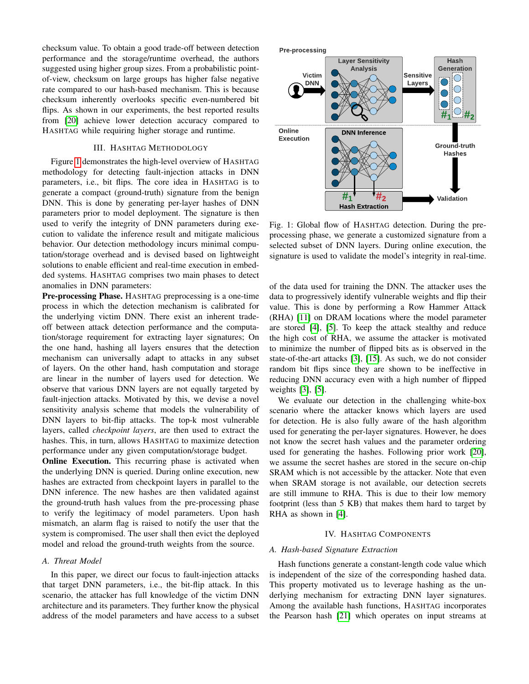checksum value. To obtain a good trade-off between detection performance and the storage/runtime overhead, the authors suggested using higher group sizes. From a probabilistic pointof-view, checksum on large groups has higher false negative rate compared to our hash-based mechanism. This is because checksum inherently overlooks specific even-numbered bit flips. As shown in our experiments, the best reported results from [\[20\]](#page-8-16) achieve lower detection accuracy compared to HASHTAG while requiring higher storage and runtime.

# III. HASHTAG METHODOLOGY

Figure [1](#page-2-0) demonstrates the high-level overview of HASHTAG methodology for detecting fault-injection attacks in DNN parameters, i.e., bit flips. The core idea in HASHTAG is to generate a compact (ground-truth) signature from the benign DNN. This is done by generating per-layer hashes of DNN parameters prior to model deployment. The signature is then used to verify the integrity of DNN parameters during execution to validate the inference result and mitigate malicious behavior. Our detection methodology incurs minimal computation/storage overhead and is devised based on lightweight solutions to enable efficient and real-time execution in embedded systems. HASHTAG comprises two main phases to detect anomalies in DNN parameters:

Pre-processing Phase. HASHTAG preprocessing is a one-time process in which the detection mechanism is calibrated for the underlying victim DNN. There exist an inherent tradeoff between attack detection performance and the computation/storage requirement for extracting layer signatures; On the one hand, hashing all layers ensures that the detection mechanism can universally adapt to attacks in any subset of layers. On the other hand, hash computation and storage are linear in the number of layers used for detection. We observe that various DNN layers are not equally targeted by fault-injection attacks. Motivated by this, we devise a novel sensitivity analysis scheme that models the vulnerability of DNN layers to bit-flip attacks. The top-k most vulnerable layers, called *checkpoint layers*, are then used to extract the hashes. This, in turn, allows HASHTAG to maximize detection performance under any given computation/storage budget.

**Online Execution.** This recurring phase is activated when the underlying DNN is queried. During online execution, new hashes are extracted from checkpoint layers in parallel to the DNN inference. The new hashes are then validated against the ground-truth hash values from the pre-processing phase to verify the legitimacy of model parameters. Upon hash mismatch, an alarm flag is raised to notify the user that the system is compromised. The user shall then evict the deployed model and reload the ground-truth weights from the source.

# <span id="page-2-1"></span>*A. Threat Model*

In this paper, we direct our focus to fault-injection attacks that target DNN parameters, i.e., the bit-flip attack. In this scenario, the attacker has full knowledge of the victim DNN architecture and its parameters. They further know the physical address of the model parameters and have access to a subset

<span id="page-2-0"></span>

Fig. 1: Global flow of HASHTAG detection. During the preprocessing phase, we generate a customized signature from a selected subset of DNN layers. During online execution, the signature is used to validate the model's integrity in real-time.

of the data used for training the DNN. The attacker uses the data to progressively identify vulnerable weights and flip their value. This is done by performing a Row Hammer Attack (RHA) [\[11\]](#page-8-8) on DRAM locations where the model parameter are stored [\[4\]](#page-8-1), [\[5\]](#page-8-2). To keep the attack stealthy and reduce the high cost of RHA, we assume the attacker is motivated to minimize the number of flipped bits as is observed in the state-of-the-art attacks [\[3\]](#page-8-0), [\[15\]](#page-8-11). As such, we do not consider random bit flips since they are shown to be ineffective in reducing DNN accuracy even with a high number of flipped weights [\[3\]](#page-8-0), [\[5\]](#page-8-2).

We evaluate our detection in the challenging white-box scenario where the attacker knows which layers are used for detection. He is also fully aware of the hash algorithm used for generating the per-layer signatures. However, he does not know the secret hash values and the parameter ordering used for generating the hashes. Following prior work [\[20\]](#page-8-16), we assume the secret hashes are stored in the secure on-chip SRAM which is not accessible by the attacker. Note that even when SRAM storage is not available, our detection secrets are still immune to RHA. This is due to their low memory footprint (less than 5 KB) that makes them hard to target by RHA as shown in [\[4\]](#page-8-1).

## IV. HASHTAG COMPONENTS

# *A. Hash-based Signature Extraction*

Hash functions generate a constant-length code value which is independent of the size of the corresponding hashed data. This property motivated us to leverage hashing as the underlying mechanism for extracting DNN layer signatures. Among the available hash functions, HASHTAG incorporates the Pearson hash [\[21\]](#page-8-17) which operates on input streams at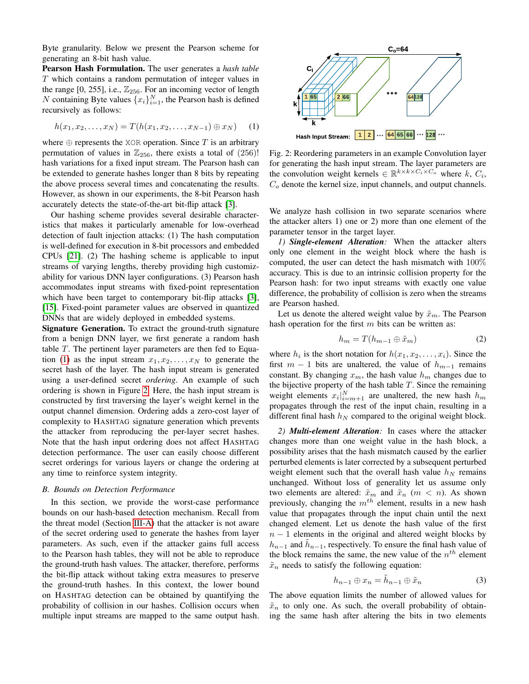Byte granularity. Below we present the Pearson scheme for generating an 8-bit hash value.

Pearson Hash Formulation. The user generates a *hash table* T which contains a random permutation of integer values in the range [0, 255], i.e.,  $\mathbb{Z}_{256}$ . For an incoming vector of length N containing Byte values  $\{x_i\}_{i=1}^N$ , the Pearson hash is defined recursively as follows:

<span id="page-3-0"></span>
$$
h(x_1, x_2, \dots, x_N) = T(h(x_1, x_2, \dots, x_{N-1}) \oplus x_N)
$$
 (1)

where  $\oplus$  represents the XOR operation. Since T is an arbitrary permutation of values in  $\mathbb{Z}_{256}$ , there exists a total of (256)! hash variations for a fixed input stream. The Pearson hash can be extended to generate hashes longer than 8 bits by repeating the above process several times and concatenating the results. However, as shown in our experiments, the 8-bit Pearson hash accurately detects the state-of-the-art bit-flip attack [\[3\]](#page-8-0).

Our hashing scheme provides several desirable characteristics that makes it particularly amenable for low-overhead detection of fault injection attacks: (1) The hash computation is well-defined for execution in 8-bit processors and embedded CPUs [\[21\]](#page-8-17). (2) The hashing scheme is applicable to input streams of varying lengths, thereby providing high customizability for various DNN layer configurations. (3) Pearson hash accommodates input streams with fixed-point representation which have been target to contemporary bit-flip attacks [\[3\]](#page-8-0), [\[15\]](#page-8-11). Fixed-point parameter values are observed in quantized DNNs that are widely deployed in embedded systems.

Signature Generation. To extract the ground-truth signature from a benign DNN layer, we first generate a random hash table T. The pertinent layer parameters are then fed to Equa-tion [\(1\)](#page-3-0) as the input stream  $x_1, x_2, \ldots, x_N$  to generate the secret hash of the layer. The hash input stream is generated using a user-defined secret *ordering*. An example of such ordering is shown in Figure [2.](#page-3-1) Here, the hash input stream is constructed by first traversing the layer's weight kernel in the output channel dimension. Ordering adds a zero-cost layer of complexity to HASHTAG signature generation which prevents the attacker from reproducing the per-layer secret hashes. Note that the hash input ordering does not affect HASHTAG detection performance. The user can easily choose different secret orderings for various layers or change the ordering at any time to reinforce system integrity.

#### *B. Bounds on Detection Performance*

In this section, we provide the worst-case performance bounds on our hash-based detection mechanism. Recall from the threat model (Section [III-A\)](#page-2-1) that the attacker is not aware of the secret ordering used to generate the hashes from layer parameters. As such, even if the attacker gains full access to the Pearson hash tables, they will not be able to reproduce the ground-truth hash values. The attacker, therefore, performs the bit-flip attack without taking extra measures to preserve the ground-truth hashes. In this context, the lower bound on HASHTAG detection can be obtained by quantifying the probability of collision in our hashes. Collision occurs when multiple input streams are mapped to the same output hash.

<span id="page-3-1"></span>

Fig. 2: Reordering parameters in an example Convolution layer for generating the hash input stream. The layer parameters are the convolution weight kernels  $\in \mathbb{R}^{k \times k \times C_i \times C_o}$  where k,  $C_i$ ,  $C<sub>o</sub>$  denote the kernel size, input channels, and output channels.

We analyze hash collision in two separate scenarios where the attacker alters 1) one or 2) more than one element of the parameter tensor in the target layer.

*1) Single-element Alteration:* When the attacker alters only one element in the weight block where the hash is computed, the user can detect the hash mismatch with 100% accuracy. This is due to an intrinsic collision property for the Pearson hash: for two input streams with exactly one value difference, the probability of collision is zero when the streams are Pearson hashed.

Let us denote the altered weight value by  $\tilde{x}_m$ . The Pearson hash operation for the first  $m$  bits can be written as:

$$
h_m = T(h_{m-1} \oplus \tilde{x}_m) \tag{2}
$$

where  $h_i$  is the short notation for  $h(x_1, x_2, \ldots, x_i)$ . Since the first  $m - 1$  bits are unaltered, the value of  $h_{m-1}$  remains constant. By changing  $x_m$ , the hash value  $h_m$  changes due to the bijective property of the hash table  $T$ . Since the remaining weight elements  $x_i|_{i=m+1}^N$  are unaltered, the new hash  $h_m$ propagates through the rest of the input chain, resulting in a different final hash  $h_N$  compared to the original weight block.

*2) Multi-element Alteration:* In cases where the attacker changes more than one weight value in the hash block, a possibility arises that the hash mismatch caused by the earlier perturbed elements is later corrected by a subsequent perturbed weight element such that the overall hash value  $h_N$  remains unchanged. Without loss of generality let us assume only two elements are altered:  $\tilde{x}_m$  and  $\tilde{x}_n$  ( $m < n$ ). As shown previously, changing the  $m<sup>th</sup>$  element, results in a new hash value that propagates through the input chain until the next changed element. Let us denote the hash value of the first  $n - 1$  elements in the original and altered weight blocks by  $h_{n-1}$  and  $\tilde{h}_{n-1}$ , respectively. To ensure the final hash value of the block remains the same, the new value of the  $n<sup>th</sup>$  element  $\tilde{x}_n$  needs to satisfy the following equation:

$$
h_{n-1} \oplus x_n = \tilde{h}_{n-1} \oplus \tilde{x}_n \tag{3}
$$

The above equation limits the number of allowed values for  $\tilde{x}_n$  to only one. As such, the overall probability of obtaining the same hash after altering the bits in two elements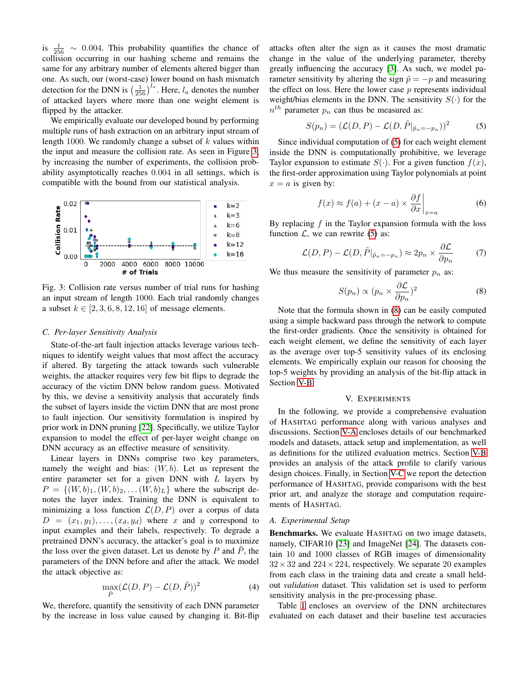is  $\frac{1}{256} \sim 0.004$ . This probability quantifies the chance of collision occurring in our hashing scheme and remains the same for any arbitrary number of elements altered bigger than one. As such, our (worst-case) lower bound on hash mismatch detection for the DNN is  $\left(\frac{1}{256}\right)^{l_a}$ . Here,  $l_a$  denotes the number of attacked layers where more than one weight element is flipped by the attacker.

We empirically evaluate our developed bound by performing multiple runs of hash extraction on an arbitrary input stream of length 1000. We randomly change a subset of  $k$  values within the input and measure the collision rate. As seen in Figure [3,](#page-4-0) by increasing the number of experiments, the collision probability asymptotically reaches 0.004 in all settings, which is compatible with the bound from our statistical analysis.

<span id="page-4-0"></span>

Fig. 3: Collision rate versus number of trial runs for hashing an input stream of length 1000. Each trial randomly changes a subset  $k \in [2, 3, 6, 8, 12, 16]$  of message elements.

#### *C. Per-layer Sensitivity Analysis*

State-of-the-art fault injection attacks leverage various techniques to identify weight values that most affect the accuracy if altered. By targeting the attack towards such vulnerable weights, the attacker requires very few bit flips to degrade the accuracy of the victim DNN below random guess. Motivated by this, we devise a sensitivity analysis that accurately finds the subset of layers inside the victim DNN that are most prone to fault injection. Our sensitivity formulation is inspired by prior work in DNN pruning [\[22\]](#page-8-18). Specifically, we utilize Taylor expansion to model the effect of per-layer weight change on DNN accuracy as an effective measure of sensitivity.

Linear layers in DNNs comprise two key parameters, namely the weight and bias:  $(W, b)$ . Let us represent the entire parameter set for a given DNN with  $L$  layers by  $P = \{(W, b)_1, (W, b)_2, \dots (W, b)_L\}$  where the subscript denotes the layer index. Training the DNN is equivalent to minimizing a loss function  $\mathcal{L}(D, P)$  over a corpus of data  $D = (x_1, y_1), \ldots, (x_d, y_d)$  where x and y correspond to input examples and their labels, respectively. To degrade a pretrained DNN's accuracy, the attacker's goal is to maximize the loss over the given dataset. Let us denote by  $P$  and  $\tilde{P}$ , the parameters of the DNN before and after the attack. We model the attack objective as:

$$
\max_{\tilde{P}} (\mathcal{L}(D, P) - \mathcal{L}(D, \tilde{P}))^2
$$
 (4)

We, therefore, quantify the sensitivity of each DNN parameter by the increase in loss value caused by changing it. Bit-flip attacks often alter the sign as it causes the most dramatic change in the value of the underlying parameter, thereby greatly influencing the accuracy [\[3\]](#page-8-0). As such, we model parameter sensitivity by altering the sign  $\tilde{p} = -p$  and measuring the effect on loss. Here the lower case  $p$  represents individual weight/bias elements in the DNN. The sensitivity  $S(\cdot)$  for the  $n^{th}$  parameter  $p_n$  can thus be measured as:

<span id="page-4-1"></span>
$$
S(p_n) = (\mathcal{L}(D, P) - \mathcal{L}(D, \tilde{P}|_{\tilde{p}_n = -p_n}))^2
$$
 (5)

Since individual computation of [\(5\)](#page-4-1) for each weight element inside the DNN is computationally prohibitive, we leverage Taylor expansion to estimate  $S(.)$ . For a given function  $f(x)$ , the first-order approximation using Taylor polynomials at point  $x = a$  is given by:

$$
f(x) \approx f(a) + (x - a) \times \frac{\partial f}{\partial x}\Big|_{x=a} \tag{6}
$$

By replacing  $f$  in the Taylor expansion formula with the loss function  $\mathcal{L}$ , we can rewrite [\(5\)](#page-4-1) as:

$$
\mathcal{L}(D, P) - \mathcal{L}(D, \tilde{P}|_{\tilde{p}_n = -p_n}) \approx 2p_n \times \frac{\partial \mathcal{L}}{\partial p_n}
$$
 (7)

We thus measure the sensitivity of parameter  $p_n$  as:

<span id="page-4-2"></span>
$$
S(p_n) \propto (p_n \times \frac{\partial \mathcal{L}}{\partial p_n})^2
$$
 (8)

Note that the formula shown in [\(8\)](#page-4-2) can be easily computed using a simple backward pass through the network to compute the first-order gradients. Once the sensitivity is obtained for each weight element, we define the sensitivity of each layer as the average over top-5 sensitivity values of its enclosing elements. We empirically explain our reason for choosing the top-5 weights by providing an analysis of the bit-flip attack in Section [V-B](#page-5-0)

# V. EXPERIMENTS

In the following, we provide a comprehensive evaluation of HASHTAG performance along with various analyses and discussions. Section [V-A](#page-4-3) encloses details of our benchmarked models and datasets, attack setup and implementation, as well as definitions for the utilized evaluation metrics. Section [V-B](#page-5-0) provides an analysis of the attack profile to clarify various design choices. Finally, in Section [V-C](#page-5-1) we report the detection performance of HASHTAG, provide comparisons with the best prior art, and analyze the storage and computation requirements of HASHTAG.

## <span id="page-4-3"></span>*A. Experimental Setup*

Benchmarks. We evaluate HASHTAG on two image datasets, namely, CIFAR10 [\[23\]](#page-8-19) and ImageNet [\[24\]](#page-8-20). The datasets contain 10 and 1000 classes of RGB images of dimensionality  $32 \times 32$  and  $224 \times 224$ , respectively. We separate 20 examples from each class in the training data and create a small heldout *validation* dataset. This validation set is used to perform sensitivity analysis in the pre-processing phase.

Table [I](#page-5-2) encloses an overview of the DNN architectures evaluated on each dataset and their baseline test accuracies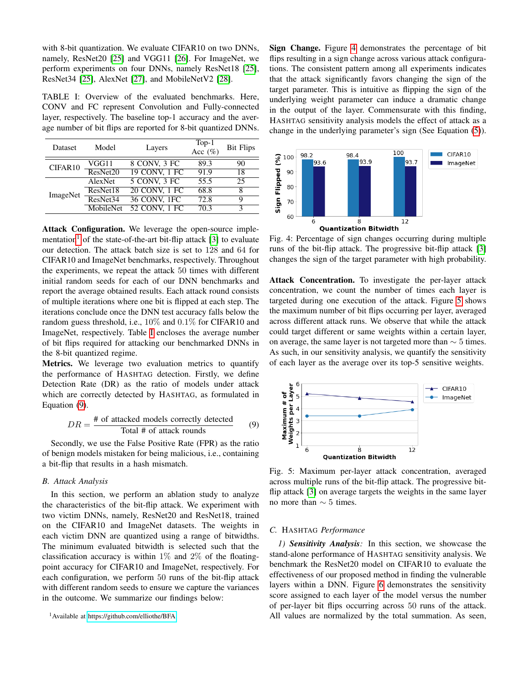with 8-bit quantization. We evaluate CIFAR10 on two DNNs, namely, ResNet20 [\[25\]](#page-8-21) and VGG11 [\[26\]](#page-8-22). For ImageNet, we perform experiments on four DNNs, namely ResNet18 [\[25\]](#page-8-21), ResNet34 [\[25\]](#page-8-21), AlexNet [\[27\]](#page-8-23), and MobileNetV2 [\[28\]](#page-8-24).

<span id="page-5-2"></span>TABLE I: Overview of the evaluated benchmarks. Here, CONV and FC represent Convolution and Fully-connected layer, respectively. The baseline top-1 accuracy and the average number of bit flips are reported for 8-bit quantized DNNs.

| Dataset  | Model     | Layers              | $Top-1$<br>Acc $(\%)$ | <b>Bit Flips</b> |
|----------|-----------|---------------------|-----------------------|------------------|
| CIFAR10  | VGG11     | 8 CONV, 3 FC        | 89.3                  | 90               |
|          | ResNet20  | 19 CONV, 1 FC       | 91.9                  | 18               |
| ImageNet | AlexNet   | 5 CONV, 3 FC        | 55.5                  | 25               |
|          | ResNet18  | 20 CONV, 1 FC       | 68.8                  |                  |
|          | ResNet34  | <b>36 CONV, 1FC</b> | 72.8                  | Q                |
|          | MobileNet | 52 CONV, 1 FC       | 70.3                  |                  |

Attack Configuration. We leverage the open-source imple-mentation<sup>[1](#page-5-3)</sup> of the state-of-the-art bit-flip attack [\[3\]](#page-8-0) to evaluate our detection. The attack batch size is set to 128 and 64 for CIFAR10 and ImageNet benchmarks, respectively. Throughout the experiments, we repeat the attack 50 times with different initial random seeds for each of our DNN benchmarks and report the average obtained results. Each attack round consists of multiple iterations where one bit is flipped at each step. The iterations conclude once the DNN test accuracy falls below the random guess threshold, i.e., 10% and 0.1% for CIFAR10 and ImageNet, respectively. Table [I](#page-5-2) encloses the average number of bit flips required for attacking our benchmarked DNNs in the 8-bit quantized regime.

Metrics. We leverage two evaluation metrics to quantify the performance of HASHTAG detection. Firstly, we define Detection Rate (DR) as the ratio of models under attack which are correctly detected by HASHTAG, as formulated in Equation [\(9\)](#page-5-4).

<span id="page-5-4"></span>
$$
DR = \frac{\text{\# of attacked models correctly detected}}{\text{Total \# of attack rounds}} \tag{9}
$$

Secondly, we use the False Positive Rate (FPR) as the ratio of benign models mistaken for being malicious, i.e., containing a bit-flip that results in a hash mismatch.

# <span id="page-5-0"></span>*B. Attack Analysis*

In this section, we perform an ablation study to analyze the characteristics of the bit-flip attack. We experiment with two victim DNNs, namely, ResNet20 and ResNet18, trained on the CIFAR10 and ImageNet datasets. The weights in each victim DNN are quantized using a range of bitwidths. The minimum evaluated bitwidth is selected such that the classification accuracy is within  $1\%$  and  $2\%$  of the floatingpoint accuracy for CIFAR10 and ImageNet, respectively. For each configuration, we perform 50 runs of the bit-flip attack with different random seeds to ensure we capture the variances in the outcome. We summarize our findings below:

<span id="page-5-3"></span><sup>1</sup>Available at<https://github.com/elliothe/BFA>

Sign Change. Figure [4](#page-5-5) demonstrates the percentage of bit flips resulting in a sign change across various attack configurations. The consistent pattern among all experiments indicates that the attack significantly favors changing the sign of the target parameter. This is intuitive as flipping the sign of the underlying weight parameter can induce a dramatic change in the output of the layer. Commensurate with this finding, HASHTAG sensitivity analysis models the effect of attack as a change in the underlying parameter's sign (See Equation [\(5\)](#page-4-1)).

<span id="page-5-5"></span>

Fig. 4: Percentage of sign changes occurring during multiple runs of the bit-flip attack. The progressive bit-flip attack [\[3\]](#page-8-0) changes the sign of the target parameter with high probability.

Attack Concentration. To investigate the per-layer attack concentration, we count the number of times each layer is targeted during one execution of the attack. Figure [5](#page-5-6) shows the maximum number of bit flips occurring per layer, averaged across different attack runs. We observe that while the attack could target different or same weights within a certain layer, on average, the same layer is not targeted more than  $\sim$  5 times. As such, in our sensitivity analysis, we quantify the sensitivity of each layer as the average over its top-5 sensitive weights.

<span id="page-5-6"></span>

Fig. 5: Maximum per-layer attack concentration, averaged across multiple runs of the bit-flip attack. The progressive bitflip attack [\[3\]](#page-8-0) on average targets the weights in the same layer no more than  $\sim$  5 times.

#### <span id="page-5-1"></span>*C.* HASHTAG *Performance*

*1) Sensitivity Analysis:* In this section, we showcase the stand-alone performance of HASHTAG sensitivity analysis. We benchmark the ResNet20 model on CIFAR10 to evaluate the effectiveness of our proposed method in finding the vulnerable layers within a DNN. Figure [6](#page-6-0) demonstrates the sensitivity score assigned to each layer of the model versus the number of per-layer bit flips occurring across 50 runs of the attack. All values are normalized by the total summation. As seen,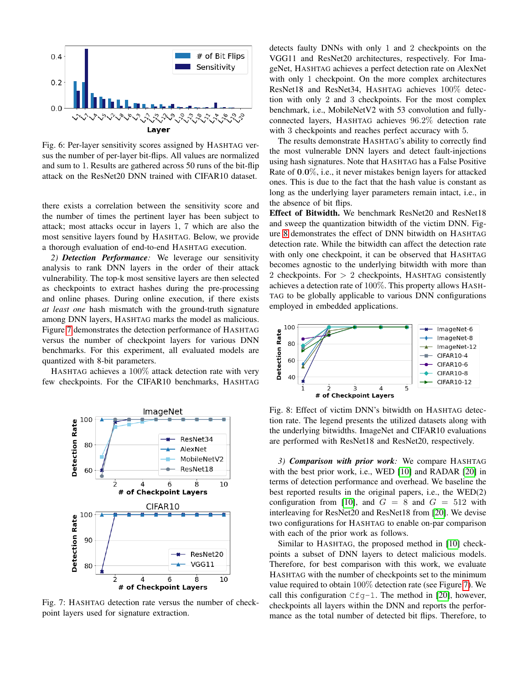<span id="page-6-0"></span>

Fig. 6: Per-layer sensitivity scores assigned by HASHTAG versus the number of per-layer bit-flips. All values are normalized and sum to 1. Results are gathered across 50 runs of the bit-flip attack on the ResNet20 DNN trained with CIFAR10 dataset.

there exists a correlation between the sensitivity score and the number of times the pertinent layer has been subject to attack; most attacks occur in layers 1, 7 which are also the most sensitive layers found by HASHTAG. Below, we provide a thorough evaluation of end-to-end HASHTAG execution.

*2) Detection Performance:* We leverage our sensitivity analysis to rank DNN layers in the order of their attack vulnerability. The top-k most sensitive layers are then selected as checkpoints to extract hashes during the pre-processing and online phases. During online execution, if there exists *at least one* hash mismatch with the ground-truth signature among DNN layers, HASHTAG marks the model as malicious. Figure [7](#page-6-1) demonstrates the detection performance of HASHTAG versus the number of checkpoint layers for various DNN benchmarks. For this experiment, all evaluated models are quantized with 8-bit parameters.

HASHTAG achieves a 100% attack detection rate with very few checkpoints. For the CIFAR10 benchmarks, HASHTAG

<span id="page-6-1"></span>

Fig. 7: HASHTAG detection rate versus the number of checkpoint layers used for signature extraction.

detects faulty DNNs with only 1 and 2 checkpoints on the VGG11 and ResNet20 architectures, respectively. For ImageNet, HASHTAG achieves a perfect detection rate on AlexNet with only 1 checkpoint. On the more complex architectures ResNet18 and ResNet34, HASHTAG achieves 100% detection with only 2 and 3 checkpoints. For the most complex benchmark, i.e., MobileNetV2 with 53 convolution and fullyconnected layers, HASHTAG achieves 96.2% detection rate with 3 checkpoints and reaches perfect accuracy with 5.

The results demonstrate HASHTAG's ability to correctly find the most vulnerable DNN layers and detect fault-injections using hash signatures. Note that HASHTAG has a False Positive Rate of 0.0%, i.e., it never mistakes benign layers for attacked ones. This is due to the fact that the hash value is constant as long as the underlying layer parameters remain intact, i.e., in the absence of bit flips.

Effect of Bitwidth. We benchmark ResNet20 and ResNet18 and sweep the quantization bitwidth of the victim DNN. Figure [8](#page-6-2) demonstrates the effect of DNN bitwidth on HASHTAG detection rate. While the bitwidth can affect the detection rate with only one checkpoint, it can be observed that HASHTAG becomes agnostic to the underlying bitwidth with more than 2 checkpoints. For > 2 checkpoints, HASHTAG consistently achieves a detection rate of 100%. This property allows HASH-TAG to be globally applicable to various DNN configurations employed in embedded applications.

<span id="page-6-2"></span>

Fig. 8: Effect of victim DNN's bitwidth on HASHTAG detection rate. The legend presents the utilized datasets along with the underlying bitwidths. ImageNet and CIFAR10 evaluations are performed with ResNet18 and ResNet20, respectively.

*3) Comparison with prior work:* We compare HASHTAG with the best prior work, i.e., WED [\[10\]](#page-8-7) and RADAR [\[20\]](#page-8-16) in terms of detection performance and overhead. We baseline the best reported results in the original papers, i.e., the WED(2) configuration from [\[10\]](#page-8-7), and  $G = 8$  and  $G = 512$  with interleaving for ResNet20 and ResNet18 from [\[20\]](#page-8-16). We devise two configurations for HASHTAG to enable on-par comparison with each of the prior work as follows.

Similar to HASHTAG, the proposed method in [\[10\]](#page-8-7) checkpoints a subset of DNN layers to detect malicious models. Therefore, for best comparison with this work, we evaluate HASHTAG with the number of checkpoints set to the minimum value required to obtain 100% detection rate (see Figure [7\)](#page-6-1). We call this configuration  $Cfq-1$ . The method in [\[20\]](#page-8-16), however, checkpoints all layers within the DNN and reports the performance as the total number of detected bit flips. Therefore, to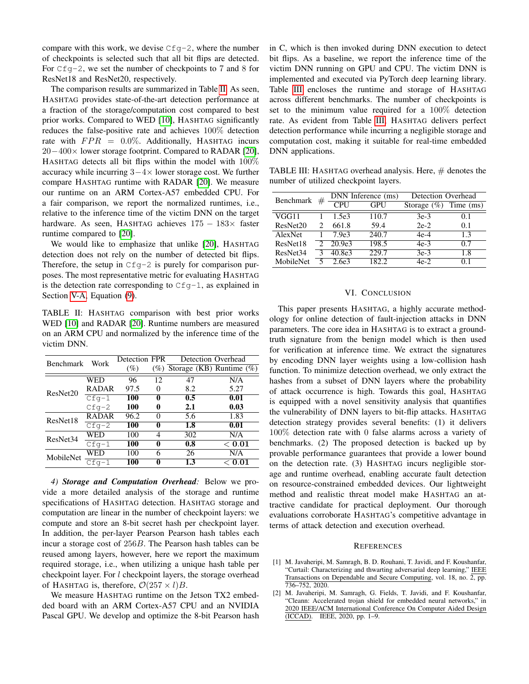compare with this work, we devise  $Cfg-2$ , where the number of checkpoints is selected such that all bit flips are detected. For  $Cfg-2$ , we set the number of checkpoints to 7 and 8 for ResNet18 and ResNet20, respectively.

The comparison results are summarized in Table [II.](#page-7-2) As seen, HASHTAG provides state-of-the-art detection performance at a fraction of the storage/computation cost compared to best prior works. Compared to WED [\[10\]](#page-8-7), HASHTAG significantly reduces the false-positive rate and achieves 100% detection rate with  $FPR = 0.0\%$ . Additionally, HASHTAG incurs 20−400× lower storage footprint. Compared to RADAR [\[20\]](#page-8-16), HASHTAG detects all bit flips within the model with 100% accuracy while incurring  $3-4\times$  lower storage cost. We further compare HASHTAG runtime with RADAR [\[20\]](#page-8-16). We measure our runtime on an ARM Cortex-A57 embedded CPU. For a fair comparison, we report the normalized runtimes, i.e., relative to the inference time of the victim DNN on the target hardware. As seen, HASHTAG achieves 175 − 183× faster runtime compared to [\[20\]](#page-8-16).

We would like to emphasize that unlike [\[20\]](#page-8-16), HASHTAG detection does not rely on the number of detected bit flips. Therefore, the setup in  $Cfg-2$  is purely for comparison purposes. The most representative metric for evaluating HASHTAG is the detection rate corresponding to  $Cfg-1$ , as explained in Section [V-A,](#page-4-3) Equation [\(9\)](#page-5-4).

<span id="page-7-2"></span>TABLE II: HASHTAG comparison with best prior works WED [\[10\]](#page-8-7) and RADAR [\[20\]](#page-8-16). Runtime numbers are measured on an ARM CPU and normalized by the inference time of the victim DNN.

| <b>Benchmark</b>     | Work         | Detection FPR |          | Detection Overhead                 |        |
|----------------------|--------------|---------------|----------|------------------------------------|--------|
|                      |              | (%)           |          | $(\%)$ Storage (KB) Runtime $(\%)$ |        |
| ResNet20             | WED          | 96            | 12       | 47                                 | N/A    |
|                      | <b>RADAR</b> | 97.5          | $\Omega$ | 8.2                                | 5.27   |
|                      | $Cfg-1$      | 100           | 0        | 0.5                                | 0.01   |
|                      | $Cfq-2$      | 100           | 0        | 2.1                                | 0.03   |
| ResNet18             | <b>RADAR</b> | 96.2          | 0        | 5.6                                | 1.83   |
|                      | $Cfg-2$      | 100           | 0        | 1.8                                | 0.01   |
| ResNet <sub>34</sub> | WED          | 100           | 4        | 302                                | N/A    |
|                      | $Cfq-1$      | 100           | 0        | 0.8                                | < 0.01 |
| MobileNet            | WED          | 100           | 6        | 26                                 | N/A    |
|                      | $Cfq-1$      | 100           | 0        | 1.3                                | < 0.01 |

*4) Storage and Computation Overhead:* Below we provide a more detailed analysis of the storage and runtime specifications of HASHTAG detection. HASHTAG storage and computation are linear in the number of checkpoint layers: we compute and store an 8-bit secret hash per checkpoint layer. In addition, the per-layer Pearson Pearson hash tables each incur a storage cost of 256B. The Pearson hash tables can be reused among layers, however, here we report the maximum required storage, i.e., when utilizing a unique hash table per checkpoint layer. For l checkpoint layers, the storage overhead of HASHTAG is, therefore,  $\mathcal{O}(257 \times l)B$ .

We measure HASHTAG runtime on the Jetson TX2 embedded board with an ARM Cortex-A57 CPU and an NVIDIA Pascal GPU. We develop and optimize the 8-bit Pearson hash in C, which is then invoked during DNN execution to detect bit flips. As a baseline, we report the inference time of the victim DNN running on GPU and CPU. The victim DNN is implemented and executed via PyTorch deep learning library. Table [III](#page-7-3) encloses the runtime and storage of HASHTAG across different benchmarks. The number of checkpoints is set to the minimum value required for a 100% detection rate. As evident from Table [III,](#page-7-3) HASHTAG delivers perfect detection performance while incurring a negligible storage and computation cost, making it suitable for real-time embedded DNN applications.

<span id="page-7-3"></span>TABLE III: HASHTAG overhead analysis. Here,  $#$  denotes the number of utilized checkpoint layers.

| Benchmark            | # | DNN Inference (ms) |       | Detection Overhead |           |
|----------------------|---|--------------------|-------|--------------------|-----------|
|                      |   | CPI                | GPU   | Storage $(\%)$     | Time (ms) |
| VGG11                |   | 1.5e <sub>3</sub>  | 110.7 | $3e-3$             | 0.1       |
| ResNet20             |   | 661.8              | 59.4  | $2e-2$             | 0.1       |
| AlexNet              |   | 7.9e <sub>3</sub>  | 240.7 | $4e-4$             | 1.3       |
| ResNet18             |   | 20.9e <sub>3</sub> | 198.5 | $4e-3$             | 07        |
| ResNet <sub>34</sub> |   | 40.8e3             | 229.7 | $3e-3$             | 1.8       |
| MobileNet            |   | 2.6e3              |       | 4e-2               |           |

#### VI. CONCLUSION

This paper presents HASHTAG, a highly accurate methodology for online detection of fault-injection attacks in DNN parameters. The core idea in HASHTAG is to extract a groundtruth signature from the benign model which is then used for verification at inference time. We extract the signatures by encoding DNN layer weights using a low-collision hash function. To minimize detection overhead, we only extract the hashes from a subset of DNN layers where the probability of attack occurrence is high. Towards this goal, HASHTAG is equipped with a novel sensitivity analysis that quantifies the vulnerability of DNN layers to bit-flip attacks. HASHTAG detection strategy provides several benefits: (1) it delivers 100% detection rate with 0 false alarms across a variety of benchmarks. (2) The proposed detection is backed up by provable performance guarantees that provide a lower bound on the detection rate. (3) HASHTAG incurs negligible storage and runtime overhead, enabling accurate fault detection on resource-constrained embedded devices. Our lightweight method and realistic threat model make HASHTAG an attractive candidate for practical deployment. Our thorough evaluations corroborate HASHTAG's competitive advantage in terms of attack detection and execution overhead.

## **REFERENCES**

- <span id="page-7-0"></span>[1] M. Javaheripi, M. Samragh, B. D. Rouhani, T. Javidi, and F. Koushanfar, "Curtail: Characterizing and thwarting adversarial deep learning," IEEE Transactions on Dependable and Secure Computing, vol. 18, no. 2, pp. 736–752, 2020.
- <span id="page-7-1"></span>[2] M. Javaheripi, M. Samragh, G. Fields, T. Javidi, and F. Koushanfar, "Cleann: Accelerated trojan shield for embedded neural networks," in 2020 IEEE/ACM International Conference On Computer Aided Design (ICCAD). IEEE, 2020, pp. 1–9.